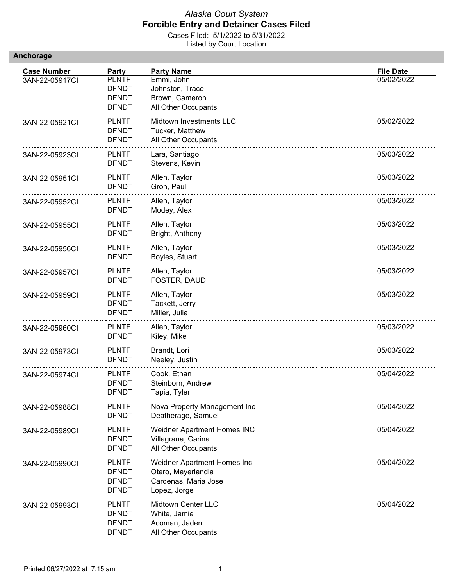|  |  | <b>Anchorage</b> |
|--|--|------------------|
|  |  |                  |

| <b>Case Number</b> | Party                                                        | <b>Party Name</b>                                                                         | <b>File Date</b> |
|--------------------|--------------------------------------------------------------|-------------------------------------------------------------------------------------------|------------------|
| 3AN-22-05917CI     | <b>PLNTF</b><br><b>DFNDT</b><br><b>DFNDT</b><br><b>DFNDT</b> | Emmi, John<br>Johnston, Trace<br>Brown, Cameron<br>All Other Occupants                    | 05/02/2022       |
| 3AN-22-05921Cl     | <b>PLNTF</b><br><b>DFNDT</b><br><b>DFNDT</b>                 | Midtown Investments LLC<br>Tucker, Matthew<br>All Other Occupants                         | 05/02/2022       |
| 3AN-22-05923CI     | <b>PLNTF</b><br><b>DFNDT</b>                                 | Lara, Santiago<br>Stevens, Kevin                                                          | 05/03/2022       |
| 3AN-22-05951CI     | <b>PLNTF</b><br><b>DFNDT</b>                                 | Allen, Taylor<br>Groh, Paul                                                               | 05/03/2022       |
| 3AN-22-05952Cl     | <b>PLNTF</b><br><b>DFNDT</b>                                 | Allen, Taylor<br>Modey, Alex                                                              | 05/03/2022       |
| 3AN-22-05955CI     | <b>PLNTF</b><br><b>DFNDT</b>                                 | Allen, Taylor<br>Bright, Anthony                                                          | 05/03/2022       |
| 3AN-22-05956CI     | <b>PLNTF</b><br><b>DFNDT</b>                                 | Allen, Taylor<br>Boyles, Stuart                                                           | 05/03/2022       |
| 3AN-22-05957CI     | <b>PLNTF</b><br><b>DFNDT</b>                                 | Allen, Taylor<br>FOSTER, DAUDI                                                            | 05/03/2022       |
| 3AN-22-05959CI     | <b>PLNTF</b><br><b>DFNDT</b><br><b>DFNDT</b>                 | Allen, Taylor<br>Tackett, Jerry<br>Miller, Julia                                          | 05/03/2022       |
| 3AN-22-05960CI     | <b>PLNTF</b><br><b>DFNDT</b>                                 | Allen, Taylor<br>Kiley, Mike                                                              | 05/03/2022       |
| 3AN-22-05973CI     | <b>PLNTF</b><br><b>DFNDT</b>                                 | Brandt, Lori<br>Neeley, Justin                                                            | 05/03/2022       |
| 3AN-22-05974Cl     | <b>PLNTF</b><br><b>DFNDT</b><br><b>DFNDT</b>                 | Cook, Ethan<br>Steinborn, Andrew<br>Tapia, Tyler                                          | 05/04/2022       |
| 3AN-22-05988CI     | <b>PLNTF</b><br><b>DFNDT</b>                                 | Nova Property Management Inc<br>Deatherage, Samuel                                        | 05/04/2022       |
| 3AN-22-05989CI     | <b>PLNTF</b><br><b>DFNDT</b><br><b>DFNDT</b>                 | Weidner Apartment Homes INC<br>Villagrana, Carina<br>All Other Occupants                  | 05/04/2022       |
| 3AN-22-05990Cl     | <b>PLNTF</b><br><b>DFNDT</b><br><b>DFNDT</b><br><b>DFNDT</b> | Weidner Apartment Homes Inc<br>Otero, Mayerlandia<br>Cardenas, Maria Jose<br>Lopez, Jorge | 05/04/2022       |
| 3AN-22-05993CI     | <b>PLNTF</b><br><b>DFNDT</b><br><b>DFNDT</b><br><b>DFNDT</b> | Midtown Center LLC<br>White, Jamie<br>Acoman, Jaden<br>All Other Occupants                | 05/04/2022       |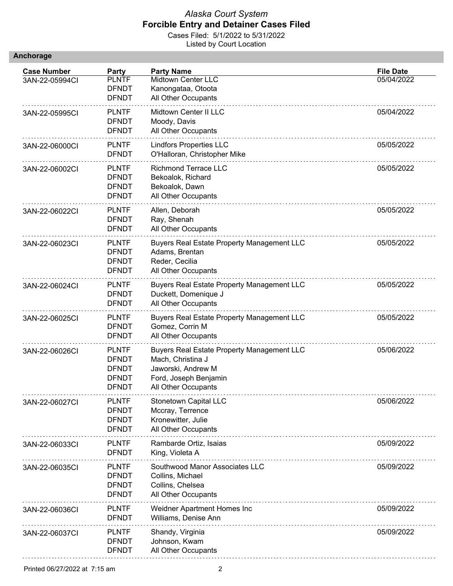| Anchorage |  |  |  |  |
|-----------|--|--|--|--|
|           |  |  |  |  |

| <b>Case Number</b> | Party                                                                        | <b>Party Name</b>                                                                                                                            | <b>File Date</b> |
|--------------------|------------------------------------------------------------------------------|----------------------------------------------------------------------------------------------------------------------------------------------|------------------|
| 3AN-22-05994Cl     | <b>PLNTF</b><br><b>DFNDT</b><br><b>DFNDT</b>                                 | Midtown Center LLC<br>Kanongataa, Otoota<br>All Other Occupants                                                                              | 05/04/2022       |
| 3AN-22-05995CI     | <b>PLNTF</b><br><b>DFNDT</b><br><b>DFNDT</b>                                 | Midtown Center II LLC<br>Moody, Davis<br>All Other Occupants                                                                                 | 05/04/2022       |
| 3AN-22-06000CI     | <b>PLNTF</b><br><b>DFNDT</b>                                                 | <b>Lindfors Properties LLC</b><br>O'Halloran, Christopher Mike                                                                               | 05/05/2022       |
| 3AN-22-06002CI     | <b>PLNTF</b><br><b>DFNDT</b><br><b>DFNDT</b><br><b>DFNDT</b>                 | <b>Richmond Terrace LLC</b><br>Bekoalok, Richard<br>Bekoalok, Dawn<br>All Other Occupants                                                    | 05/05/2022       |
| 3AN-22-06022Cl     | <b>PLNTF</b><br><b>DFNDT</b><br><b>DFNDT</b>                                 | Allen, Deborah<br>Ray, Shenah<br>All Other Occupants                                                                                         | 05/05/2022       |
| 3AN-22-06023CI     | <b>PLNTF</b><br><b>DFNDT</b><br><b>DFNDT</b><br><b>DFNDT</b>                 | <b>Buyers Real Estate Property Management LLC</b><br>Adams, Brentan<br>Reder, Cecilia<br>All Other Occupants                                 | 05/05/2022       |
| 3AN-22-06024Cl     | <b>PLNTF</b><br><b>DFNDT</b><br><b>DFNDT</b>                                 | <b>Buyers Real Estate Property Management LLC</b><br>Duckett, Domenique J<br>All Other Occupants                                             | 05/05/2022       |
| 3AN-22-06025CI     | <b>PLNTF</b><br><b>DFNDT</b><br><b>DFNDT</b>                                 | <b>Buyers Real Estate Property Management LLC</b><br>Gomez, Corrin M<br>All Other Occupants                                                  | 05/05/2022       |
| 3AN-22-06026CI     | <b>PLNTF</b><br><b>DFNDT</b><br><b>DFNDT</b><br><b>DFNDT</b><br><b>DFNDT</b> | <b>Buyers Real Estate Property Management LLC</b><br>Mach, Christina J<br>Jaworski, Andrew M<br>Ford, Joseph Benjamin<br>All Other Occupants | 05/06/2022       |
| 3AN-22-06027CI     | <b>PLNTF</b><br><b>DFNDT</b><br><b>DFNDT</b><br><b>DFNDT</b>                 | Stonetown Capital LLC<br>Mccray, Terrence<br>Kronewitter, Julie<br>All Other Occupants                                                       | 05/06/2022       |
| 3AN-22-06033CI     | <b>PLNTF</b><br><b>DFNDT</b>                                                 | Rambarde Ortiz, Isaias<br>King, Violeta A                                                                                                    | 05/09/2022       |
| 3AN-22-06035CI     | <b>PLNTF</b><br><b>DFNDT</b><br><b>DFNDT</b><br><b>DFNDT</b>                 | Southwood Manor Associates LLC<br>Collins, Michael<br>Collins, Chelsea<br>All Other Occupants                                                | 05/09/2022       |
| 3AN-22-06036CI     | <b>PLNTF</b><br><b>DFNDT</b>                                                 | Weidner Apartment Homes Inc<br>Williams, Denise Ann                                                                                          | 05/09/2022       |
| 3AN-22-06037CI     | <b>PLNTF</b><br><b>DFNDT</b><br><b>DFNDT</b>                                 | Shandy, Virginia<br>Johnson, Kwam<br>All Other Occupants                                                                                     | 05/09/2022       |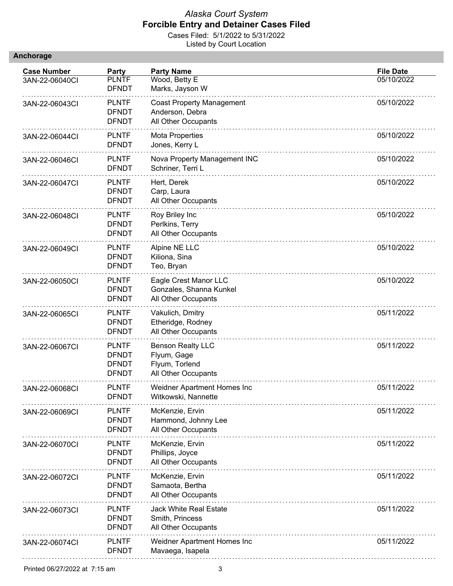|  | Anchorage |  |  |
|--|-----------|--|--|
|  |           |  |  |

| <b>Case Number</b> | Party                                                        | <b>Party Name</b>                                                                | <b>File Date</b> |
|--------------------|--------------------------------------------------------------|----------------------------------------------------------------------------------|------------------|
| 3AN-22-06040Cl     | <b>PLNTF</b><br><b>DFNDT</b>                                 | Wood, Betty E<br>Marks, Jayson W                                                 | 05/10/2022       |
| 3AN-22-06043Cl     | <b>PLNTF</b><br><b>DFNDT</b><br><b>DFNDT</b>                 | <b>Coast Property Management</b><br>Anderson, Debra<br>All Other Occupants       | 05/10/2022       |
| 3AN-22-06044Cl     | <b>PLNTF</b><br><b>DFNDT</b>                                 | <b>Mota Properties</b><br>Jones, Kerry L                                         | 05/10/2022       |
| 3AN-22-06046CI     | <b>PLNTF</b><br><b>DFNDT</b>                                 | Nova Property Management INC<br>Schriner, Terri L                                | 05/10/2022       |
| 3AN-22-06047CI     | <b>PLNTF</b><br><b>DFNDT</b><br><b>DFNDT</b>                 | Hert, Derek<br>Carp, Laura<br>All Other Occupants                                | 05/10/2022       |
| 3AN-22-06048CI     | <b>PLNTF</b><br><b>DFNDT</b><br><b>DFNDT</b>                 | Roy Briley Inc<br>Perlkins, Terry<br>All Other Occupants                         | 05/10/2022       |
| 3AN-22-06049CI     | <b>PLNTF</b><br><b>DFNDT</b><br><b>DFNDT</b>                 | Alpine NE LLC<br>Kiliona, Sina<br>Teo, Bryan                                     | 05/10/2022       |
| 3AN-22-06050CI     | <b>PLNTF</b><br><b>DFNDT</b><br><b>DFNDT</b>                 | Eagle Crest Manor LLC<br>Gonzales, Shanna Kunkel<br>All Other Occupants          | 05/10/2022       |
| 3AN-22-06065CI     | <b>PLNTF</b><br><b>DFNDT</b><br><b>DFNDT</b>                 | Vakulich, Dmitry<br>Etheridge, Rodney<br>All Other Occupants                     | 05/11/2022       |
| 3AN-22-06067CI     | <b>PLNTF</b><br><b>DFNDT</b><br><b>DFNDT</b><br><b>DFNDT</b> | <b>Benson Realty LLC</b><br>Flyum, Gage<br>Flyum, Torlend<br>All Other Occupants | 05/11/2022       |
| 3AN-22-06068CI     | <b>PLNTF</b><br>DFND I                                       | Weidner Apartment Homes Inc<br>Witkowski, Nannette                               | 05/11/2022       |
| 3AN-22-06069CI     | <b>PLNTF</b><br><b>DFNDT</b><br><b>DFNDT</b>                 | McKenzie, Ervin<br>Hammond, Johnny Lee<br>All Other Occupants                    | 05/11/2022       |
| 3AN-22-06070Cl     | <b>PLNTF</b><br><b>DFNDT</b><br><b>DFNDT</b>                 | McKenzie, Ervin<br>Phillips, Joyce<br>All Other Occupants                        | 05/11/2022       |
| 3AN-22-06072CI     | <b>PLNTF</b><br><b>DFNDT</b><br><b>DFNDT</b>                 | McKenzie, Ervin<br>Samaota, Bertha<br>All Other Occupants                        | 05/11/2022       |
| 3AN-22-06073CI     | <b>PLNTF</b><br><b>DFNDT</b><br><b>DFNDT</b>                 | <b>Jack White Real Estate</b><br>Smith, Princess<br>All Other Occupants          | 05/11/2022       |
| 3AN-22-06074Cl     | <b>PLNTF</b><br><b>DFNDT</b>                                 | Weidner Apartment Homes Inc<br>Mavaega, Isapela                                  | 05/11/2022       |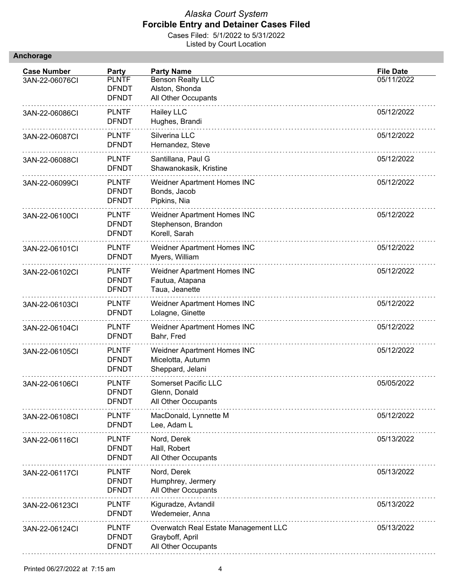|  |  | <b>Anchorage</b> |  |
|--|--|------------------|--|
|  |  |                  |  |

| <b>Case Number</b> | Party                                        | <b>Party Name</b>                                                              | <b>File Date</b> |
|--------------------|----------------------------------------------|--------------------------------------------------------------------------------|------------------|
| 3AN-22-06076CI     | <b>PLNTF</b><br><b>DFNDT</b><br><b>DFNDT</b> | <b>Benson Realty LLC</b><br>Alston, Shonda<br>All Other Occupants              | 05/11/2022       |
| 3AN-22-06086CI     | <b>PLNTF</b><br><b>DFNDT</b>                 | <b>Hailey LLC</b><br>Hughes, Brandi                                            | 05/12/2022       |
| 3AN-22-06087CI     | <b>PLNTF</b><br><b>DFNDT</b>                 | Silverina LLC<br>Hernandez, Steve                                              | 05/12/2022       |
| 3AN-22-06088CI     | <b>PLNTF</b><br><b>DFNDT</b>                 | Santillana, Paul G<br>Shawanokasik, Kristine                                   | 05/12/2022       |
| 3AN-22-06099CI     | <b>PLNTF</b><br><b>DFNDT</b><br><b>DFNDT</b> | Weidner Apartment Homes INC<br>Bonds, Jacob<br>Pipkins, Nia                    | 05/12/2022       |
| 3AN-22-06100Cl     | <b>PLNTF</b><br><b>DFNDT</b><br><b>DFNDT</b> | Weidner Apartment Homes INC<br>Stephenson, Brandon<br>Korell, Sarah            | 05/12/2022       |
| 3AN-22-06101Cl     | <b>PLNTF</b><br><b>DFNDT</b>                 | Weidner Apartment Homes INC<br>Myers, William                                  | 05/12/2022       |
| 3AN-22-06102Cl     | <b>PLNTF</b><br><b>DFNDT</b><br><b>DFNDT</b> | Weidner Apartment Homes INC<br>Fautua, Atapana<br>Taua, Jeanette               | 05/12/2022       |
| 3AN-22-06103Cl     | <b>PLNTF</b><br><b>DFNDT</b>                 | Weidner Apartment Homes INC<br>Lolagne, Ginette                                | 05/12/2022       |
| 3AN-22-06104Cl     | <b>PLNTF</b><br><b>DFNDT</b>                 | Weidner Apartment Homes INC<br>Bahr, Fred                                      | 05/12/2022       |
| 3AN-22-06105Cl     | <b>PLNTF</b><br><b>DFNDT</b><br><b>DFNDT</b> | Weidner Apartment Homes INC<br>Micelotta, Autumn<br>Sheppard, Jelani           | 05/12/2022       |
| 3AN-22-06106CI     | <b>PLNTF</b><br><b>DFNDT</b><br><b>DFNDT</b> | Somerset Pacific LLC<br>Glenn, Donald<br>All Other Occupants                   | 05/05/2022       |
| 3AN-22-06108CI     | <b>PLNTF</b><br><b>DFNDT</b>                 | MacDonald, Lynnette M<br>Lee, Adam L                                           | 05/12/2022       |
| 3AN-22-06116CI     | <b>PLNTF</b><br><b>DFNDT</b><br><b>DFNDT</b> | Nord, Derek<br>Hall, Robert<br>All Other Occupants                             | 05/13/2022       |
| 3AN-22-06117Cl     | <b>PLNTF</b><br><b>DFNDT</b><br><b>DFNDT</b> | Nord, Derek<br>Humphrey, Jermery<br>All Other Occupants                        | 05/13/2022       |
| 3AN-22-06123CI     | <b>PLNTF</b><br><b>DFNDT</b>                 | Kiguradze, Avtandil<br>Wedemeier, Anna                                         | 05/13/2022       |
| 3AN-22-06124Cl     | <b>PLNTF</b><br><b>DFNDT</b><br><b>DFNDT</b> | Overwatch Real Estate Management LLC<br>Grayboff, April<br>All Other Occupants | 05/13/2022       |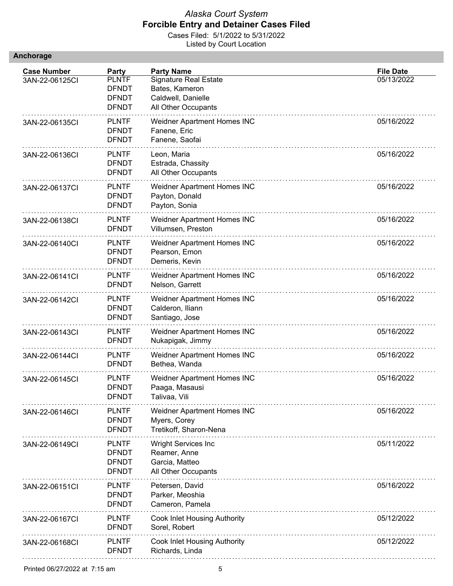| <b>Anchorage</b> |  |  |  |
|------------------|--|--|--|
|                  |  |  |  |

| <b>Case Number</b> | Party                                                        | <b>Party Name</b>                                                                           | <b>File Date</b> |
|--------------------|--------------------------------------------------------------|---------------------------------------------------------------------------------------------|------------------|
| 3AN-22-06125CI     | <b>PLNTF</b><br><b>DFNDT</b><br><b>DFNDT</b><br><b>DFNDT</b> | <b>Signature Real Estate</b><br>Bates, Kameron<br>Caldwell, Danielle<br>All Other Occupants | 05/13/2022       |
| 3AN-22-06135CI     | <b>PLNTF</b><br><b>DFNDT</b><br><b>DFNDT</b>                 | Weidner Apartment Homes INC<br>Fanene, Eric<br>Fanene, Saofai                               | 05/16/2022       |
| 3AN-22-06136CI     | <b>PLNTF</b><br><b>DFNDT</b><br><b>DFNDT</b>                 | Leon, Maria<br>Estrada, Chassity<br>All Other Occupants                                     | 05/16/2022       |
| 3AN-22-06137CI     | <b>PLNTF</b><br><b>DFNDT</b><br><b>DFNDT</b>                 | Weidner Apartment Homes INC<br>Payton, Donald<br>Payton, Sonia                              | 05/16/2022       |
| 3AN-22-06138CI     | <b>PLNTF</b><br><b>DFNDT</b>                                 | Weidner Apartment Homes INC<br>Villumsen, Preston                                           | 05/16/2022       |
| 3AN-22-06140Cl     | <b>PLNTF</b><br><b>DFNDT</b><br><b>DFNDT</b>                 | Weidner Apartment Homes INC<br>Pearson, Emon<br>Demeris, Kevin                              | 05/16/2022       |
| 3AN-22-06141Cl     | <b>PLNTF</b><br><b>DFNDT</b>                                 | Weidner Apartment Homes INC<br>Nelson, Garrett                                              | 05/16/2022       |
| 3AN-22-06142Cl     | <b>PLNTF</b><br><b>DFNDT</b><br><b>DFNDT</b>                 | Weidner Apartment Homes INC<br>Calderon, Iliann<br>Santiago, Jose                           | 05/16/2022       |
| 3AN-22-06143CI     | <b>PLNTF</b><br><b>DFNDT</b>                                 | Weidner Apartment Homes INC<br>Nukapigak, Jimmy                                             | 05/16/2022       |
| 3AN-22-06144CI     | <b>PLNTF</b><br><b>DFNDT</b>                                 | Weidner Apartment Homes INC<br>Bethea, Wanda                                                | 05/16/2022       |
| 3AN-22-06145Cl     | <b>PLNTF</b><br><b>DFNDT</b><br><b>DFNDT</b>                 | Weidner Apartment Homes INC<br>Paaga, Masausi<br>Talivaa, Vili                              | 05/16/2022       |
| 3AN-22-06146Cl     | <b>PLNTF</b><br><b>DFNDT</b><br><b>DFNDT</b>                 | Weidner Apartment Homes INC<br>Myers, Corey<br>Tretikoff, Sharon-Nena                       | 05/16/2022       |
| 3AN-22-06149Cl     | <b>PLNTF</b><br><b>DFNDT</b><br><b>DFNDT</b><br><b>DFNDT</b> | <b>Wright Services Inc</b><br>Reamer, Anne<br>Garcia, Matteo<br>All Other Occupants         | 05/11/2022       |
| 3AN-22-06151CI     | <b>PLNTF</b><br><b>DFNDT</b><br><b>DFNDT</b>                 | Petersen, David<br>Parker, Meoshia<br>Cameron, Pamela                                       | 05/16/2022       |
| 3AN-22-06167CI     | <b>PLNTF</b><br><b>DFNDT</b>                                 | Cook Inlet Housing Authority<br>Sorel, Robert                                               | 05/12/2022       |
| 3AN-22-06168CI     | <b>PLNTF</b><br><b>DFNDT</b>                                 | Cook Inlet Housing Authority<br>Richards, Linda                                             | 05/12/2022       |
|                    |                                                              |                                                                                             |                  |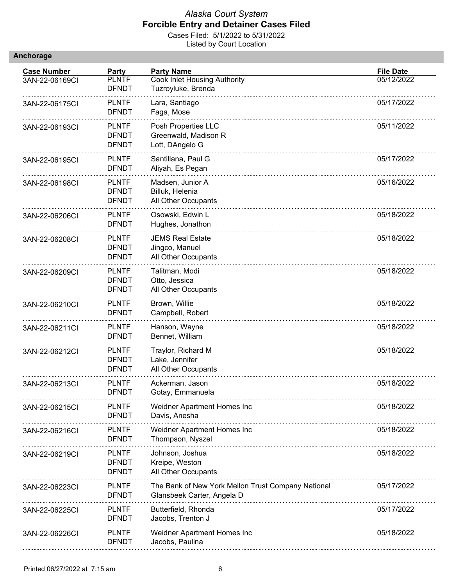|  |  | <b>Anchorage</b> |  |
|--|--|------------------|--|
|  |  |                  |  |

| <b>Case Number</b> | Party                                        | <b>Party Name</b>                                                                | <b>File Date</b> |
|--------------------|----------------------------------------------|----------------------------------------------------------------------------------|------------------|
| 3AN-22-06169CI     | <b>PLNTF</b><br><b>DFNDT</b>                 | Cook Inlet Housing Authority<br>Tuzroyluke, Brenda                               | 05/12/2022       |
| 3AN-22-06175CI     | <b>PLNTF</b><br><b>DFNDT</b>                 | Lara, Santiago<br>Faga, Mose                                                     | 05/17/2022       |
| 3AN-22-06193CI     | <b>PLNTF</b><br><b>DFNDT</b><br><b>DFNDT</b> | Posh Properties LLC<br>Greenwald, Madison R<br>Lott, DAngelo G                   | 05/11/2022       |
| 3AN-22-06195CI     | <b>PLNTF</b><br><b>DFNDT</b>                 | Santillana, Paul G<br>Aliyah, Es Pegan                                           | 05/17/2022       |
| 3AN-22-06198CI     | <b>PLNTF</b><br><b>DFNDT</b><br><b>DFNDT</b> | Madsen, Junior A<br>Billuk, Helenia<br>All Other Occupants                       | 05/16/2022       |
| 3AN-22-06206CI     | <b>PLNTF</b><br><b>DFNDT</b>                 | Osowski, Edwin L<br>Hughes, Jonathon                                             | 05/18/2022       |
| 3AN-22-06208CI     | <b>PLNTF</b><br><b>DFNDT</b><br><b>DFNDT</b> | <b>JEMS Real Estate</b><br>Jingco, Manuel<br>All Other Occupants                 | 05/18/2022       |
| 3AN-22-06209CI     | <b>PLNTF</b><br><b>DFNDT</b><br><b>DFNDT</b> | Talitman, Modi<br>Otto, Jessica<br>All Other Occupants                           | 05/18/2022       |
| 3AN-22-06210Cl     | <b>PLNTF</b><br><b>DFNDT</b>                 | Brown, Willie<br>Campbell, Robert                                                | 05/18/2022       |
| 3AN-22-06211CI     | <b>PLNTF</b><br><b>DFNDT</b>                 | Hanson, Wayne<br>Bennet, William                                                 | 05/18/2022       |
| 3AN-22-06212Cl     | <b>PLNTF</b><br><b>DFNDT</b><br><b>DFNDT</b> | Traylor, Richard M<br>Lake, Jennifer<br>All Other Occupants                      | 05/18/2022       |
| 3AN-22-06213CI     | <b>PLNTF</b><br><b>DFNDT</b>                 | Ackerman, Jason<br>Gotay, Emmanuela                                              | 05/18/2022       |
| 3AN-22-06215CI     | <b>PLNTF</b><br><b>DFNDT</b>                 | Weidner Apartment Homes Inc<br>Davis, Anesha                                     | 05/18/2022       |
| 3AN-22-06216CI     | <b>PLNTF</b><br><b>DFNDT</b>                 | Weidner Apartment Homes Inc<br>Thompson, Nyszel                                  | 05/18/2022       |
| 3AN-22-06219CI     | <b>PLNTF</b><br><b>DFNDT</b><br><b>DFNDT</b> | Johnson, Joshua<br>Kreipe, Weston<br>All Other Occupants                         | 05/18/2022       |
| 3AN-22-06223CI     | <b>PLNTF</b><br><b>DFNDT</b>                 | The Bank of New York Mellon Trust Company National<br>Glansbeek Carter, Angela D | 05/17/2022       |
| 3AN-22-06225CI     | <b>PLNTF</b><br><b>DFNDT</b>                 | Butterfield, Rhonda<br>Jacobs, Trenton J                                         | 05/17/2022       |
| 3AN-22-06226CI     | <b>PLNTF</b><br><b>DFNDT</b>                 | Weidner Apartment Homes Inc<br>Jacobs, Paulina                                   | 05/18/2022       |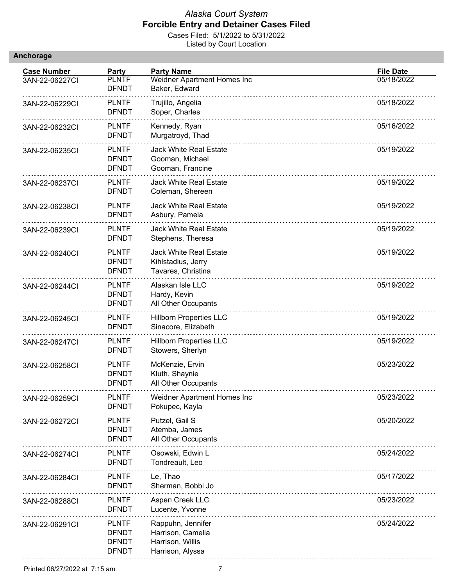|  |  | <b>Anchorage</b> |  |
|--|--|------------------|--|
|  |  |                  |  |

| <b>Case Number</b> | Party                                                        | <b>Party Name</b>                                                              | <b>File Date</b> |
|--------------------|--------------------------------------------------------------|--------------------------------------------------------------------------------|------------------|
| 3AN-22-06227CI     | <b>PLNTF</b><br><b>DFNDT</b>                                 | Weidner Apartment Homes Inc<br>Baker, Edward                                   | 05/18/2022       |
| 3AN-22-06229CI     | <b>PLNTF</b><br><b>DFNDT</b>                                 | Trujillo, Angelia<br>Soper, Charles                                            | 05/18/2022       |
| 3AN-22-06232CI     | <b>PLNTF</b><br><b>DFNDT</b>                                 | Kennedy, Ryan<br>Murgatroyd, Thad                                              | 05/16/2022       |
| 3AN-22-06235CI     | <b>PLNTF</b><br><b>DFNDT</b><br><b>DFNDT</b>                 | <b>Jack White Real Estate</b><br>Gooman, Michael<br>Gooman, Francine           | 05/19/2022       |
| 3AN-22-06237CI     | <b>PLNTF</b><br><b>DFNDT</b>                                 | <b>Jack White Real Estate</b><br>Coleman, Shereen                              | 05/19/2022       |
| 3AN-22-06238CI     | <b>PLNTF</b><br><b>DFNDT</b>                                 | <b>Jack White Real Estate</b><br>Asbury, Pamela                                | 05/19/2022       |
| 3AN-22-06239CI     | <b>PLNTF</b><br><b>DFNDT</b>                                 | <b>Jack White Real Estate</b><br>Stephens, Theresa                             | 05/19/2022       |
| 3AN-22-06240Cl     | <b>PLNTF</b><br><b>DFNDT</b><br><b>DFNDT</b>                 | <b>Jack White Real Estate</b><br>Kihlstadius, Jerry<br>Tavares, Christina      | 05/19/2022       |
| 3AN-22-06244Cl     | <b>PLNTF</b><br><b>DFNDT</b><br><b>DFNDT</b>                 | Alaskan Isle LLC<br>Hardy, Kevin<br>All Other Occupants                        | 05/19/2022       |
| 3AN-22-06245CI     | <b>PLNTF</b><br><b>DFNDT</b>                                 | <b>Hillborn Properties LLC</b><br>Sinacore, Elizabeth                          | 05/19/2022       |
| 3AN-22-06247CI     | <b>PLNTF</b><br><b>DFNDT</b>                                 | <b>Hillborn Properties LLC</b><br>Stowers, Sherlyn                             | 05/19/2022       |
| 3AN-22-06258CI     | <b>PLNTF</b><br><b>DFNDT</b><br><b>DFNDT</b>                 | McKenzie, Ervin<br>Kluth, Shaynie<br>All Other Occupants                       | 05/23/2022       |
| 3AN-22-06259Cl     | <b>PLNTF</b><br><b>DFNDT</b>                                 | Weidner Apartment Homes Inc<br>Pokupec, Kayla                                  | 05/23/2022       |
| 3AN-22-06272CI     | <b>PLNTF</b><br><b>DFNDT</b><br><b>DFNDT</b>                 | Putzel, Gail S<br>Atemba, James<br>All Other Occupants                         | 05/20/2022       |
| 3AN-22-06274Cl     | <b>PLNTF</b><br><b>DFNDT</b>                                 | Osowski, Edwin L<br>Tondreault, Leo                                            | 05/24/2022       |
| 3AN-22-06284Cl     | <b>PLNTF</b><br><b>DFNDT</b>                                 | Le, Thao<br>Sherman, Bobbi Jo                                                  | 05/17/2022       |
| 3AN-22-06288CI     | <b>PLNTF</b><br><b>DFNDT</b>                                 | Aspen Creek LLC<br>Lucente, Yvonne                                             | 05/23/2022       |
| 3AN-22-06291Cl     | <b>PLNTF</b><br><b>DFNDT</b><br><b>DFNDT</b><br><b>DFNDT</b> | Rappuhn, Jennifer<br>Harrison, Camelia<br>Harrison, Willis<br>Harrison, Alyssa | 05/24/2022       |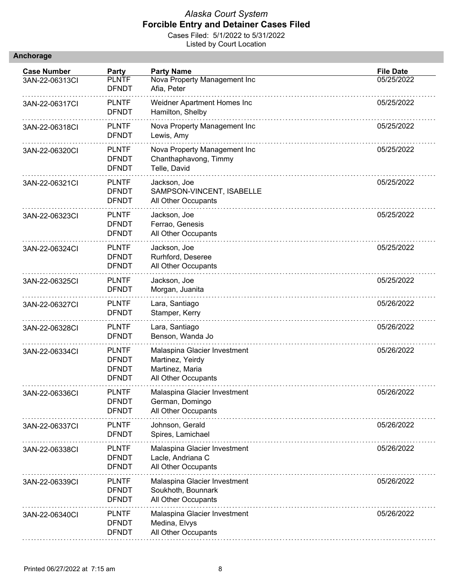|  |  | <b>Anchorage</b> |  |
|--|--|------------------|--|
|  |  |                  |  |

| <b>Case Number</b> | Party                                                        | <b>Party Name</b>                                                                          | <b>File Date</b> |
|--------------------|--------------------------------------------------------------|--------------------------------------------------------------------------------------------|------------------|
| 3AN-22-06313CI     | <b>PLNTF</b><br><b>DFNDT</b>                                 | Nova Property Management Inc<br>Afia, Peter                                                | 05/25/2022       |
| 3AN-22-06317CI     | <b>PLNTF</b><br><b>DFNDT</b>                                 | Weidner Apartment Homes Inc<br>Hamilton, Shelby                                            | 05/25/2022       |
| 3AN-22-06318CI     | <b>PLNTF</b><br><b>DFNDT</b>                                 | Nova Property Management Inc<br>Lewis, Amy                                                 | 05/25/2022       |
| 3AN-22-06320CI     | <b>PLNTF</b><br><b>DFNDT</b><br><b>DFNDT</b>                 | Nova Property Management Inc<br>Chanthaphavong, Timmy<br>Telle, David                      | 05/25/2022       |
| 3AN-22-06321Cl     | <b>PLNTF</b><br><b>DFNDT</b><br><b>DFNDT</b>                 | Jackson, Joe<br>SAMPSON-VINCENT, ISABELLE<br>All Other Occupants                           | 05/25/2022       |
| 3AN-22-06323CI     | <b>PLNTF</b><br><b>DFNDT</b><br><b>DFNDT</b>                 | Jackson, Joe<br>Ferrao, Genesis<br>All Other Occupants                                     | 05/25/2022       |
| 3AN-22-06324CI     | <b>PLNTF</b><br><b>DFNDT</b><br><b>DFNDT</b>                 | Jackson, Joe<br>Rurhford, Deseree<br>All Other Occupants                                   | 05/25/2022       |
| 3AN-22-06325CI     | <b>PLNTF</b><br><b>DFNDT</b>                                 | Jackson, Joe<br>Morgan, Juanita                                                            | 05/25/2022       |
| 3AN-22-06327CI     | <b>PLNTF</b><br><b>DFNDT</b>                                 | Lara, Santiago<br>Stamper, Kerry                                                           | 05/26/2022       |
| 3AN-22-06328CI     | <b>PLNTF</b><br><b>DFNDT</b>                                 | Lara, Santiago<br>Benson, Wanda Jo                                                         | 05/26/2022       |
| 3AN-22-06334CI     | <b>PLNTF</b><br><b>DFNDT</b><br><b>DFNDT</b><br><b>DFNDT</b> | Malaspina Glacier Investment<br>Martinez, Yeirdy<br>Martinez, Maria<br>All Other Occupants | 05/26/2022       |
| 3AN-22-06336CI     | <b>PLNTF</b><br><b>DFNDT</b><br><b>DFNDT</b>                 | Malaspina Glacier Investment<br>German, Domingo<br>All Other Occupants                     | 05/26/2022       |
| 3AN-22-06337CI     | <b>PLNTF</b><br><b>DFNDT</b>                                 | Johnson, Gerald<br>Spires, Lamichael                                                       | 05/26/2022       |
| 3AN-22-06338CI     | <b>PLNTF</b><br><b>DFNDT</b><br><b>DFNDT</b>                 | Malaspina Glacier Investment<br>Lacle, Andriana C<br>All Other Occupants                   | 05/26/2022       |
| 3AN-22-06339CI     | <b>PLNTF</b><br><b>DFNDT</b><br><b>DFNDT</b>                 | Malaspina Glacier Investment<br>Soukhoth, Bounnark<br>All Other Occupants                  | 05/26/2022       |
| 3AN-22-06340Cl     | <b>PLNTF</b><br><b>DFNDT</b><br><b>DFNDT</b>                 | Malaspina Glacier Investment<br>Medina, Elvys<br>All Other Occupants                       | 05/26/2022       |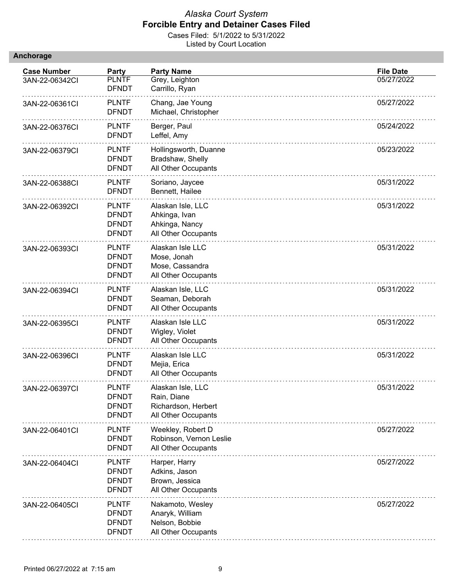| Anchorage |  |
|-----------|--|
|           |  |

| <b>Case Number</b> | Party                                                        | <b>Party Name</b>                                                              | <b>File Date</b> |
|--------------------|--------------------------------------------------------------|--------------------------------------------------------------------------------|------------------|
| 3AN-22-06342Cl     | <b>PLNTF</b><br><b>DFNDT</b>                                 | Grey, Leighton<br>Carrillo, Ryan                                               | 05/27/2022       |
| 3AN-22-06361CI     | <b>PLNTF</b><br><b>DFNDT</b>                                 | Chang, Jae Young<br>Michael, Christopher                                       | 05/27/2022       |
| 3AN-22-06376CI     | <b>PLNTF</b><br><b>DFNDT</b>                                 | Berger, Paul<br>Leffel, Amy                                                    | 05/24/2022       |
| 3AN-22-06379CI     | <b>PLNTF</b><br><b>DFNDT</b><br><b>DFNDT</b>                 | Hollingsworth, Duanne<br>Bradshaw, Shelly<br>All Other Occupants               | 05/23/2022       |
| 3AN-22-06388CI     | <b>PLNTF</b><br><b>DFNDT</b>                                 | Soriano, Jaycee<br>Bennett, Hailee                                             | 05/31/2022       |
| 3AN-22-06392Cl     | <b>PLNTF</b><br><b>DFNDT</b><br><b>DFNDT</b><br><b>DFNDT</b> | Alaskan Isle, LLC<br>Ahkinga, Ivan<br>Ahkinga, Nancy<br>All Other Occupants    | 05/31/2022       |
| 3AN-22-06393CI     | <b>PLNTF</b><br><b>DFNDT</b><br><b>DFNDT</b><br><b>DFNDT</b> | Alaskan Isle LLC<br>Mose, Jonah<br>Mose, Cassandra<br>All Other Occupants      | 05/31/2022       |
| 3AN-22-06394Cl     | <b>PLNTF</b><br><b>DFNDT</b><br><b>DFNDT</b>                 | Alaskan Isle, LLC<br>Seaman, Deborah<br>All Other Occupants                    | 05/31/2022       |
| 3AN-22-06395CI     | <b>PLNTF</b><br><b>DFNDT</b><br><b>DFNDT</b>                 | Alaskan Isle LLC<br>Wigley, Violet<br>All Other Occupants                      | 05/31/2022       |
| 3AN-22-06396CI     | <b>PLNTF</b><br><b>DFNDT</b><br><b>DFNDT</b>                 | Alaskan Isle LLC<br>Mejia, Erica<br>All Other Occupants                        | 05/31/2022       |
| 3AN-22-06397CI     | <b>PLNTF</b><br><b>DFNDT</b><br><b>DFNDT</b><br><b>DFNDT</b> | Alaskan Isle, LLC<br>Rain, Diane<br>Richardson, Herbert<br>All Other Occupants | 05/31/2022       |
| 3AN-22-06401CI     | <b>PLNTF</b><br><b>DFNDT</b><br><b>DFNDT</b>                 | Weekley, Robert D<br>Robinson, Vernon Leslie<br>All Other Occupants            | 05/27/2022       |
| 3AN-22-06404Cl     | <b>PLNTF</b><br><b>DFNDT</b><br><b>DFNDT</b><br><b>DFNDT</b> | Harper, Harry<br>Adkins, Jason<br>Brown, Jessica<br>All Other Occupants        | 05/27/2022       |
| 3AN-22-06405CI     | <b>PLNTF</b><br><b>DFNDT</b><br><b>DFNDT</b><br><b>DFNDT</b> | Nakamoto, Wesley<br>Anaryk, William<br>Nelson, Bobbie<br>All Other Occupants   | 05/27/2022       |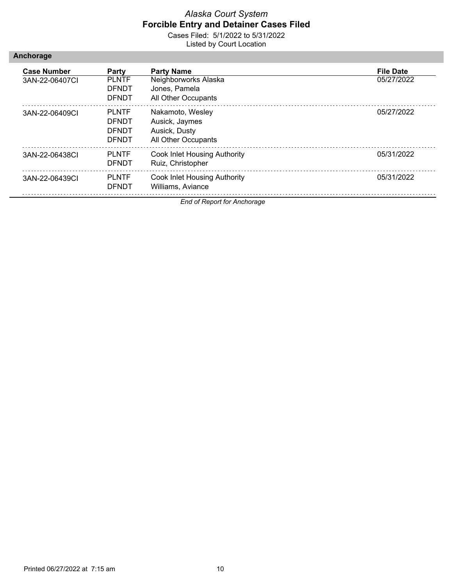Cases Filed: 5/1/2022 to 5/31/2022 Listed by Court Location

| Anchorage |  |  |  |
|-----------|--|--|--|
|           |  |  |  |

| <b>Case Number</b><br>3AN-22-06407CI | Party<br><b>PLNTF</b><br><b>DFNDT</b><br><b>DENDT</b>        | <b>Party Name</b><br>Neighborworks Alaska<br>Jones, Pamela<br>All Other Occupants | <b>File Date</b><br>05/27/2022 |
|--------------------------------------|--------------------------------------------------------------|-----------------------------------------------------------------------------------|--------------------------------|
| 3AN-22-06409CL                       | <b>PLNTF</b><br><b>DENDT</b><br><b>DENDT</b><br><b>DENDT</b> | Nakamoto, Wesley<br>Ausick, Jaymes<br>Ausick, Dusty<br>All Other Occupants        | 05/27/2022                     |
| 3AN-22-06438CI                       | <b>PLNTF</b><br><b>DENDT</b>                                 | Cook Inlet Housing Authority<br>Ruiz, Christopher                                 | 05/31/2022                     |
| 3AN-22-06439CI                       | <b>PLNTF</b><br><b>DENDT</b>                                 | Cook Inlet Housing Authority<br>Williams, Aviance                                 | 05/31/2022                     |

*End of Report for Anchorage*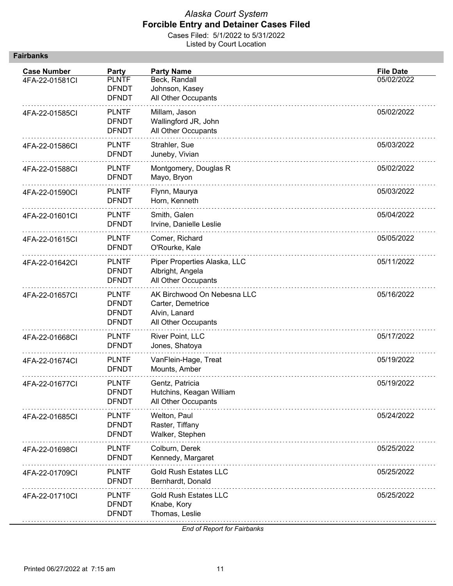Cases Filed: 5/1/2022 to 5/31/2022 Listed by Court Location

| <b>Case Number</b><br>4FA-22-01581Cl | <b>Party</b><br><b>PLNTF</b><br><b>DFNDT</b><br><b>DFNDT</b> | <b>Party Name</b><br>Beck, Randall<br>Johnson, Kasey<br>All Other Occupants              | <b>File Date</b><br>05/02/2022 |
|--------------------------------------|--------------------------------------------------------------|------------------------------------------------------------------------------------------|--------------------------------|
| 4FA-22-01585Cl                       | <b>PLNTF</b><br><b>DFNDT</b><br><b>DFNDT</b>                 | Millam, Jason<br>Wallingford JR, John<br>All Other Occupants                             | 05/02/2022                     |
| 4FA-22-01586CI                       | <b>PLNTF</b><br><b>DFNDT</b>                                 | Strahler, Sue<br>Juneby, Vivian                                                          | 05/03/2022                     |
| 4FA-22-01588CI                       | <b>PLNTF</b><br><b>DFNDT</b>                                 | Montgomery, Douglas R<br>Mayo, Bryon                                                     | 05/02/2022                     |
| 4FA-22-01590Cl                       | <b>PLNTF</b><br><b>DFNDT</b>                                 | Flynn, Maurya<br>Horn, Kenneth                                                           | 05/03/2022                     |
| 4FA-22-01601CI                       | <b>PLNTF</b><br><b>DFNDT</b>                                 | Smith, Galen<br>Irvine, Danielle Leslie                                                  | 05/04/2022                     |
| 4FA-22-01615Cl                       | <b>PLNTF</b><br><b>DFNDT</b>                                 | Comer, Richard<br>O'Rourke, Kale                                                         | 05/05/2022                     |
| 4FA-22-01642Cl                       | <b>PLNTF</b><br><b>DFNDT</b><br><b>DFNDT</b>                 | Piper Properties Alaska, LLC<br>Albright, Angela<br>All Other Occupants                  | 05/11/2022                     |
| 4FA-22-01657Cl                       | <b>PLNTF</b><br><b>DFNDT</b><br><b>DFNDT</b><br><b>DFNDT</b> | AK Birchwood On Nebesna LLC<br>Carter, Demetrice<br>Alvin, Lanard<br>All Other Occupants | 05/16/2022                     |
| 4FA-22-01668CI                       | <b>PLNTF</b><br><b>DFNDT</b>                                 | River Point, LLC<br>Jones, Shatoya                                                       | 05/17/2022                     |
| 4FA-22-01674CI                       | <b>PLNTF</b><br><b>DFNDT</b>                                 | VanFlein-Hage, Treat<br>Mounts, Amber                                                    | 05/19/2022                     |
| 4FA-22-01677CI                       | <b>PLNTF</b><br><b>DFNDT</b><br><b>DFNDT</b>                 | Gentz, Patricia<br>Hutchins, Keagan William<br>All Other Occupants                       | 05/19/2022                     |
| 4FA-22-01685Cl                       | <b>PLNTF</b><br><b>DFNDT</b><br><b>DFNDT</b>                 | Welton, Paul<br>Raster, Tiffany<br>Walker, Stephen                                       | 05/24/2022                     |
| 4FA-22-01698CI                       | <b>PLNTF</b><br><b>DFNDT</b>                                 | Colburn, Derek<br>Kennedy, Margaret                                                      | 05/25/2022                     |
| 4FA-22-01709Cl                       | <b>PLNTF</b><br><b>DFNDT</b>                                 | <b>Gold Rush Estates LLC</b><br>Bernhardt, Donald                                        | 05/25/2022                     |
| 4FA-22-01710Cl                       | <b>PLNTF</b><br><b>DFNDT</b><br><b>DFNDT</b>                 | <b>Gold Rush Estates LLC</b><br>Knabe, Kory<br>Thomas, Leslie                            | 05/25/2022                     |

*End of Report for Fairbanks*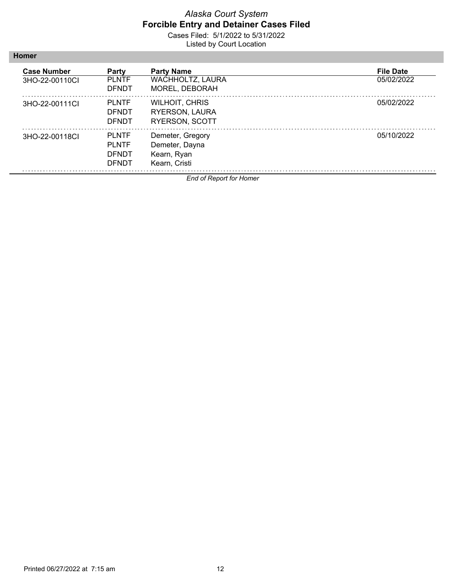Cases Filed: 5/1/2022 to 5/31/2022 Listed by Court Location

| <b>Case Number</b><br>3HO-22-00110CL | Party<br><b>PLNTF</b><br><b>DENDT</b>                 | <b>Party Name</b><br><b>WACHHOLTZ, LAURA</b><br>MOREL, DEBORAH          | <b>File Date</b><br>05/02/2022 |
|--------------------------------------|-------------------------------------------------------|-------------------------------------------------------------------------|--------------------------------|
| 3HO-22-00111CL                       | <b>PLNTF</b><br><b>DENDT</b><br><b>DENDT</b>          | <b>WILHOIT, CHRIS</b><br><b>RYERSON, LAURA</b><br><b>RYERSON, SCOTT</b> | 05/02/2022                     |
| 3HO-22-00118CL                       | <b>PLNTF</b><br><b>PLNTF</b><br><b>DENDT</b><br>DENDT | Demeter, Gregory<br>Demeter, Dayna<br>Kearn, Ryan<br>Kearn, Cristi      | 05/10/2022                     |

*End of Report for Homer*

**Homer**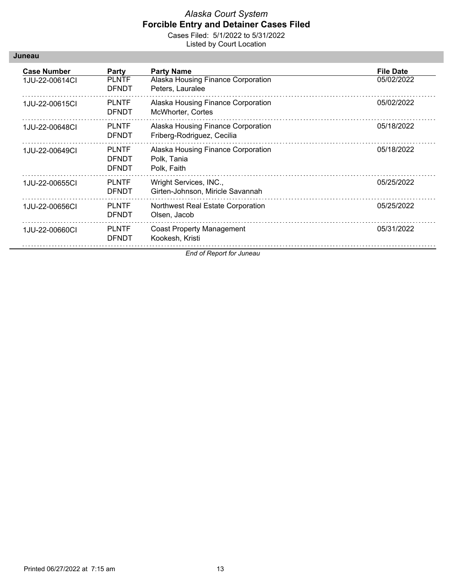Cases Filed: 5/1/2022 to 5/31/2022 Listed by Court Location

| Juneau |
|--------|
|--------|

| <b>Case Number</b><br>1JU-22-00614CI | Party<br><b>PLNTF</b><br><b>DFNDT</b>        | <b>Party Name</b><br>Alaska Housing Finance Corporation<br>Peters, Lauralee | <b>File Date</b><br>05/02/2022 |
|--------------------------------------|----------------------------------------------|-----------------------------------------------------------------------------|--------------------------------|
| 1JU-22-00615CI                       | <b>PLNTF</b><br><b>DFNDT</b>                 | Alaska Housing Finance Corporation<br>McWhorter, Cortes                     | 05/02/2022                     |
| 1JU-22-00648CI                       | <b>PLNTF</b><br><b>DFNDT</b>                 | Alaska Housing Finance Corporation<br>Friberg-Rodriguez, Cecilia            | 05/18/2022                     |
| 1JU-22-00649CI                       | <b>PLNTF</b><br><b>DFNDT</b><br><b>DFNDT</b> | Alaska Housing Finance Corporation<br>Polk, Tania<br>Polk, Faith            | 05/18/2022                     |
| 1JU-22-00655CI                       | <b>PLNTF</b><br><b>DFNDT</b>                 | Wright Services, INC.,<br>Girten-Johnson, Miricle Savannah                  | 05/25/2022                     |
| 1JU-22-00656CI                       | <b>PLNTF</b><br><b>DFNDT</b>                 | Northwest Real Estate Corporation<br>Olsen, Jacob                           | 05/25/2022                     |
| 1JU-22-00660CI                       | <b>PLNTF</b><br><b>DFNDT</b>                 | <b>Coast Property Management</b><br>Kookesh, Kristi                         | 05/31/2022                     |

*End of Report for Juneau*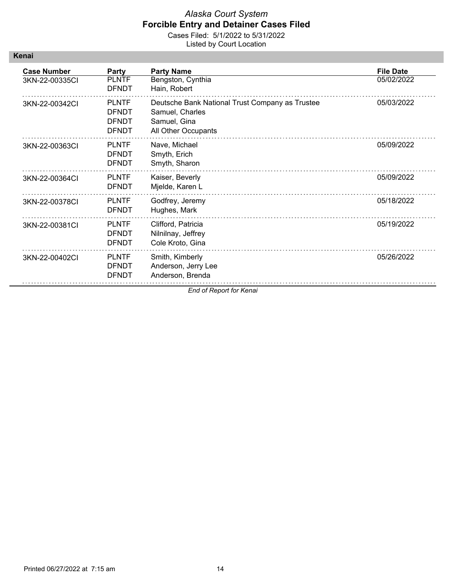| Kenaı |  |
|-------|--|
|       |  |
|       |  |

| <b>Case Number</b> | Party        | <b>Party Name</b>                               | <b>File Date</b> |
|--------------------|--------------|-------------------------------------------------|------------------|
| 3KN-22-00335CI     | <b>PLNTF</b> | Bengston, Cynthia                               | 05/02/2022       |
|                    | <b>DFNDT</b> | Hain, Robert                                    |                  |
| 3KN-22-00342CI     | <b>PLNTF</b> | Deutsche Bank National Trust Company as Trustee | 05/03/2022       |
|                    | <b>DFNDT</b> | Samuel, Charles                                 |                  |
|                    | <b>DENDT</b> | Samuel, Gina                                    |                  |
|                    | <b>DFNDT</b> | All Other Occupants                             |                  |
| 3KN-22-00363CI     | <b>PLNTF</b> | Nave, Michael                                   | 05/09/2022       |
|                    | <b>DFNDT</b> | Smyth, Erich                                    |                  |
|                    | <b>DFNDT</b> | Smyth, Sharon                                   |                  |
| 3KN-22-00364Cl     | <b>PLNTF</b> | Kaiser, Beverly                                 | 05/09/2022       |
|                    | <b>DFNDT</b> | Mjelde, Karen L                                 |                  |
| 3KN-22-00378CI     | <b>PLNTF</b> | Godfrey, Jeremy                                 | 05/18/2022       |
|                    | <b>DFNDT</b> | Hughes, Mark                                    |                  |
| 3KN-22-00381CI     | <b>PLNTF</b> | Clifford, Patricia                              | 05/19/2022       |
|                    | <b>DFNDT</b> | Nilnilnay, Jeffrey                              |                  |
|                    | <b>DFNDT</b> | Cole Kroto, Gina                                |                  |
| 3KN-22-00402Cl     | <b>PLNTF</b> | Smith, Kimberly                                 | 05/26/2022       |
|                    | <b>DFNDT</b> | Anderson, Jerry Lee                             |                  |
|                    | <b>DFNDT</b> | Anderson, Brenda                                |                  |
|                    |              | End of Report for Kenai                         |                  |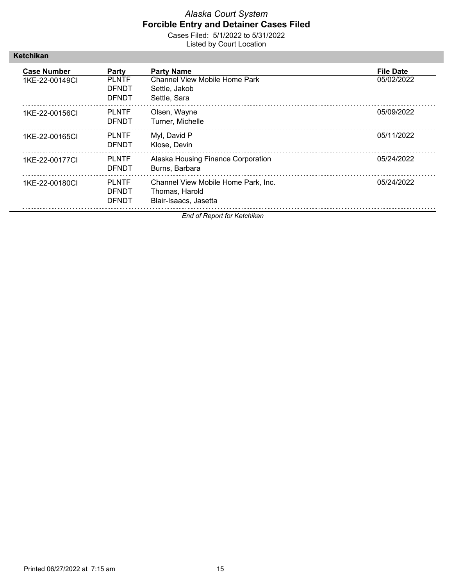Cases Filed: 5/1/2022 to 5/31/2022 Listed by Court Location

| Ketchikan |
|-----------|
|-----------|

| <b>Case Number</b><br>1KE-22-00149CI | <b>Party</b><br><b>PLNTF</b><br><b>DENDT</b><br>DENDT | <b>Party Name</b><br>Channel View Mobile Home Park<br>Settle, Jakob<br>Settle, Sara | <b>File Date</b><br>05/02/2022 |
|--------------------------------------|-------------------------------------------------------|-------------------------------------------------------------------------------------|--------------------------------|
| 1KE-22-00156CI                       | <b>PLNTF</b><br><b>DFNDT</b>                          | Olsen, Wayne<br>Turner, Michelle                                                    | 05/09/2022                     |
| 1KE-22-00165CL                       | <b>PLNTF</b><br>DENDT                                 | Myl, David P<br>Klose, Devin                                                        | 05/11/2022                     |
| 1KE-22-00177CL                       | <b>PLNTF</b><br>DENDT                                 | Alaska Housing Finance Corporation<br>Burns, Barbara                                | 05/24/2022                     |
| 1KE-22-00180CL                       | <b>PLNTF</b><br><b>DFNDT</b><br>DENDT                 | Channel View Mobile Home Park, Inc.<br>Thomas, Harold<br>Blair-Isaacs, Jasetta      | 05/24/2022                     |

*End of Report for Ketchikan*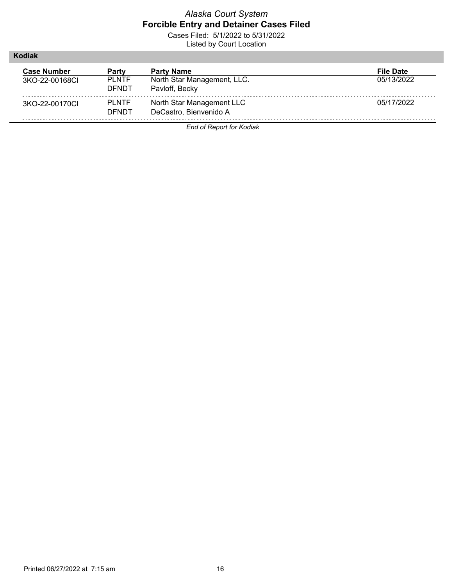Cases Filed: 5/1/2022 to 5/31/2022 Listed by Court Location

| Kodiak                               |                                       |                                                                    |                                |
|--------------------------------------|---------------------------------------|--------------------------------------------------------------------|--------------------------------|
| <b>Case Number</b><br>3KO-22-00168CL | Party<br><b>PLNTF</b><br><b>DENDT</b> | <b>Party Name</b><br>North Star Management, LLC.<br>Pavloff, Becky | <b>File Date</b><br>05/13/2022 |
| 3KO-22-00170CL                       | <b>PLNTF</b><br><b>DENDT</b>          | North Star Management LLC<br>DeCastro, Bienvenido A                | 05/17/2022                     |

*End of Report for Kodiak*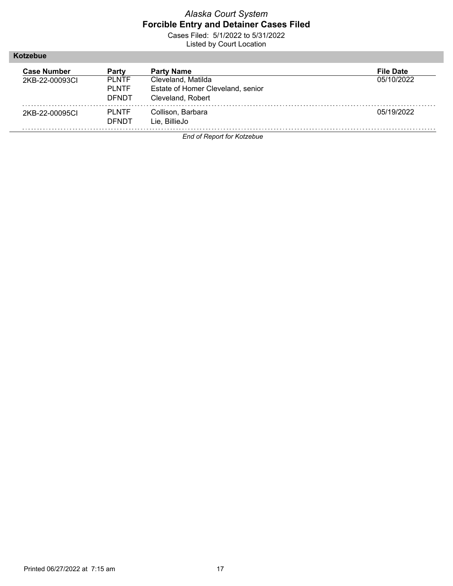Cases Filed: 5/1/2022 to 5/31/2022 Listed by Court Location

**Kotzebue**

| <b>Case Number</b><br>2KB-22-00093CL | Party<br><b>PLNTF</b>         | <b>Party Name</b><br>Cleveland, Matilda                | <b>File Date</b><br>05/10/2022 |
|--------------------------------------|-------------------------------|--------------------------------------------------------|--------------------------------|
|                                      | <b>PI NTF</b><br><b>DENDT</b> | Estate of Homer Cleveland, senior<br>Cleveland, Robert |                                |
| 2KB-22-00095CI                       | <b>PLNTF</b><br>DENDT         | Collison, Barbara<br>Lie. BillieJo                     | 05/19/2022                     |

*End of Report for Kotzebue*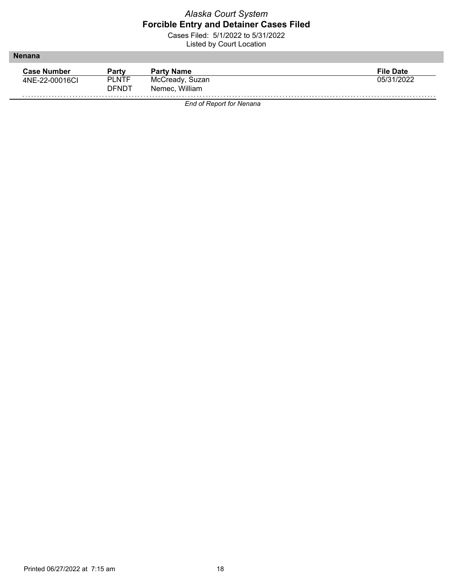Cases Filed: 5/1/2022 to 5/31/2022 Listed by Court Location

| Partv        | <b>Party Name</b> | <b>File Date</b> |
|--------------|-------------------|------------------|
| <b>PLNTF</b> | McCready, Suzan   | 05/31/2022       |
| <b>DENDT</b> | Nemec, William    |                  |
|              |                   |                  |

*End of Report for Nenana*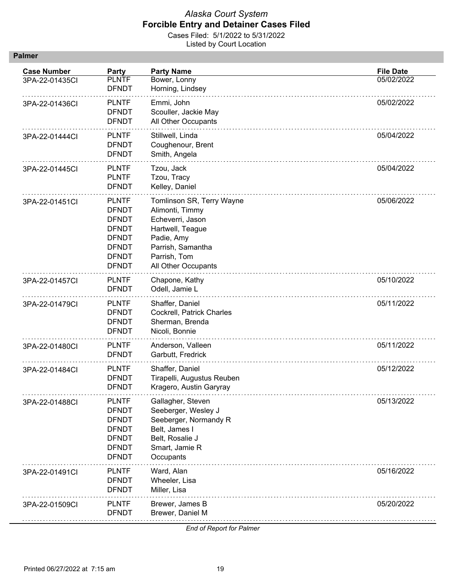Cases Filed: 5/1/2022 to 5/31/2022 Listed by Court Location

| <b>Case Number</b><br>3PA-22-01435CI | <b>Party</b><br><b>PLNTF</b><br><b>DFNDT</b>                                                                                 | <b>Party Name</b><br>Bower, Lonny<br>Horning, Lindsey                                                                                                          | <b>File Date</b><br>05/02/2022 |
|--------------------------------------|------------------------------------------------------------------------------------------------------------------------------|----------------------------------------------------------------------------------------------------------------------------------------------------------------|--------------------------------|
| 3PA-22-01436CI                       | <b>PLNTF</b><br><b>DFNDT</b><br><b>DFNDT</b>                                                                                 | Emmi, John<br>Scouller, Jackie May<br>All Other Occupants                                                                                                      | 05/02/2022                     |
| 3PA-22-01444Cl                       | <b>PLNTF</b><br><b>DFNDT</b><br><b>DFNDT</b>                                                                                 | Stillwell, Linda<br>Coughenour, Brent<br>Smith, Angela                                                                                                         | 05/04/2022                     |
| 3PA-22-01445CI                       | <b>PLNTF</b><br><b>PLNTF</b><br><b>DFNDT</b>                                                                                 | Tzou, Jack<br>Tzou, Tracy<br>Kelley, Daniel                                                                                                                    | 05/04/2022                     |
| 3PA-22-01451CI                       | <b>PLNTF</b><br><b>DFNDT</b><br><b>DFNDT</b><br><b>DFNDT</b><br><b>DFNDT</b><br><b>DFNDT</b><br><b>DFNDT</b><br><b>DFNDT</b> | Tomlinson SR, Terry Wayne<br>Alimonti, Timmy<br>Echeverri, Jason<br>Hartwell, Teague<br>Padie, Amy<br>Parrish, Samantha<br>Parrish, Tom<br>All Other Occupants | 05/06/2022                     |
| 3PA-22-01457CI                       | <b>PLNTF</b><br><b>DFNDT</b>                                                                                                 | Chapone, Kathy<br>Odell, Jamie L                                                                                                                               | 05/10/2022                     |
| 3PA-22-01479CI                       | <b>PLNTF</b><br><b>DFNDT</b><br><b>DFNDT</b><br><b>DFNDT</b>                                                                 | Shaffer, Daniel<br>Cockrell, Patrick Charles<br>Sherman, Brenda<br>Nicoli, Bonnie                                                                              | 05/11/2022                     |
| 3PA-22-01480Cl                       | <b>PLNTF</b><br><b>DFNDT</b>                                                                                                 | Anderson, Valleen<br>Garbutt, Fredrick                                                                                                                         | 05/11/2022                     |
| 3PA-22-01484Cl                       | <b>PLNTF</b><br><b>DFNDT</b><br><b>DFNDT</b>                                                                                 | Shaffer, Daniel<br>Tirapelli, Augustus Reuben<br>Kragero, Austin Garyray                                                                                       | 05/12/2022                     |
| 3PA-22-01488CI                       | <b>PLNTF</b><br><b>DFNDT</b><br><b>DFNDT</b><br><b>DFNDT</b><br><b>DFNDT</b><br><b>DFNDT</b><br><b>DFNDT</b>                 | Gallagher, Steven<br>Seeberger, Wesley J<br>Seeberger, Normandy R<br>Belt, James I<br>Belt, Rosalie J<br>Smart, Jamie R<br>Occupants                           | 05/13/2022                     |
| 3PA-22-01491Cl                       | <b>PLNTF</b><br><b>DFNDT</b><br><b>DFNDT</b>                                                                                 | Ward, Alan<br>Wheeler, Lisa<br>Miller, Lisa                                                                                                                    | 05/16/2022                     |
| 3PA-22-01509CI                       | <b>PLNTF</b><br><b>DFNDT</b>                                                                                                 | Brewer, James B<br>Brewer, Daniel M                                                                                                                            | 05/20/2022                     |

*End of Report for Palmer*

ш.

**Palmer**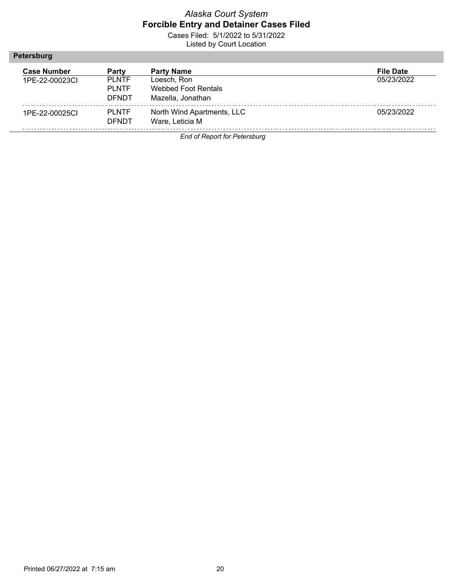Cases Filed: 5/1/2022 to 5/31/2022 Listed by Court Location

#### **Petersburg**

| <b>Case Number</b> | Party                                   | <b>Party Name</b>                                       | <b>File Date</b> |
|--------------------|-----------------------------------------|---------------------------------------------------------|------------------|
| 1PF-22-00023CL     | <b>PI NTF</b><br>PI NTF<br><b>DENDT</b> | Loesch. Ron<br>Webbed Foot Rentals<br>Mazella, Jonathan | 05/23/2022       |
| 1PE-22-00025CI     | <b>PI NTF</b><br><b>DENDT</b>           | North Wind Apartments, LLC<br>Ware, Leticia M           | 05/23/2022       |

*End of Report for Petersburg*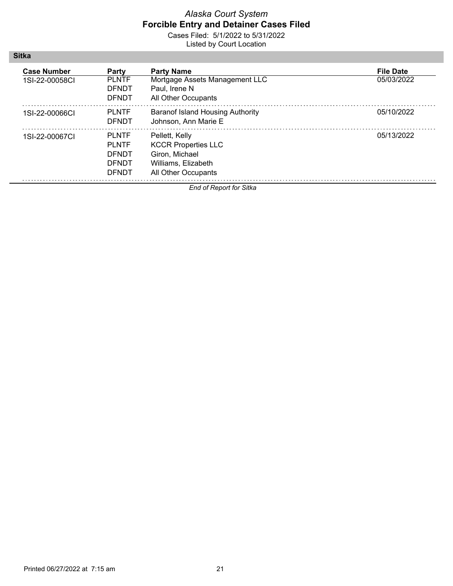Cases Filed: 5/1/2022 to 5/31/2022 Listed by Court Location

| <b>Case Number</b><br>1SI-22-00058CL | Party<br><b>PLNTF</b><br><b>DFNDT</b><br><b>DENDT</b>                        | <b>Party Name</b><br>Mortgage Assets Management LLC<br>Paul, Irene N<br>All Other Occupants                  | <b>File Date</b><br>05/03/2022 |
|--------------------------------------|------------------------------------------------------------------------------|--------------------------------------------------------------------------------------------------------------|--------------------------------|
| 1SI-22-00066CI                       | <b>PLNTF</b><br><b>DENDT</b>                                                 | <b>Baranof Island Housing Authority</b><br>Johnson, Ann Marie E                                              | 05/10/2022                     |
| 1SI-22-00067CL                       | <b>PLNTF</b><br><b>PLNTF</b><br><b>DENDT</b><br><b>DENDT</b><br><b>DENDT</b> | Pellett, Kelly<br><b>KCCR Properties LLC</b><br>Giron, Michael<br>Williams, Elizabeth<br>All Other Occupants | 05/13/2022                     |

*End of Report for Sitka*

**Sitka**